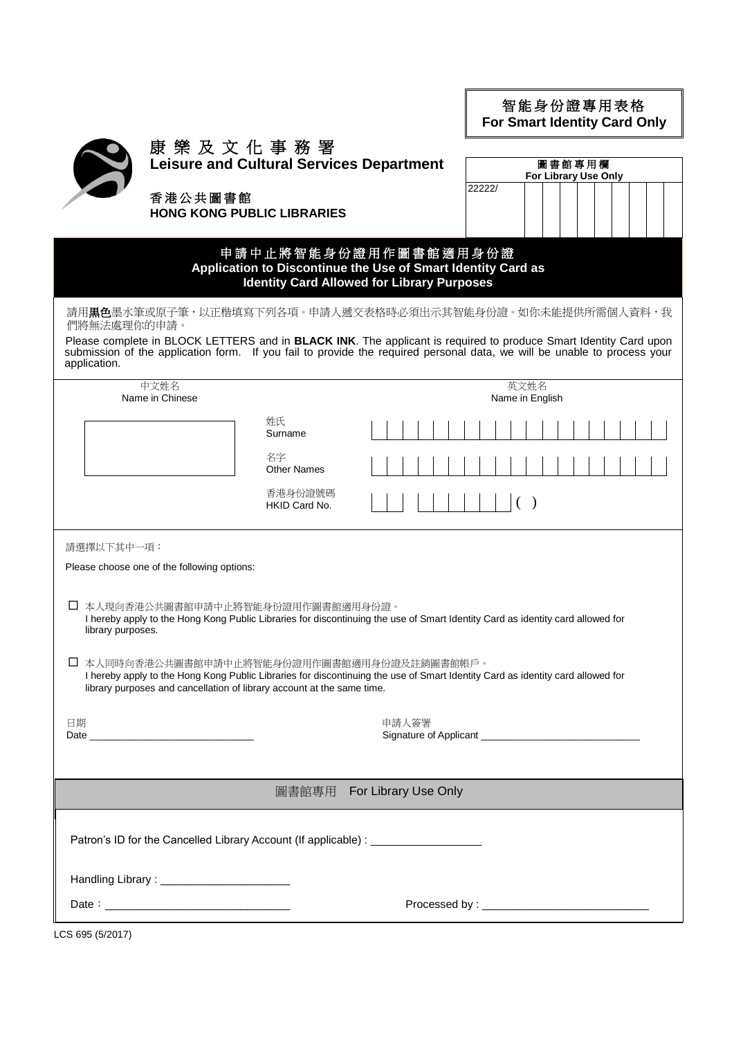| 智能身份證專用表格                           |  |
|-------------------------------------|--|
| <b>For Smart Identity Card Only</b> |  |

圖書館專用欄 **For Library Use Only**

22222/

| 屓 |
|---|
| ₹ |

## 康 樂 及 文 化 事 務 署

**Leisure and Cultural Services Department**

香港公共圖書館 **HONG KONG PUBLIC LIBRARIES**

## 申 請 中 止 將 智 能 身 份 證 用作圖書館適用 身 份 證 **Application to Discontinue the Use of Smart Identity Card as Identity Card Allowed for Library Purposes**

請用**黒色**墨水筆或原子筆,以正楷填寫下列各項。申請人遞交表格時必須出示其智能身份證。如你未能提供所需個人資料,我 們將無法處理你的申請。

Please complete in BLOCK LETTERS and in **BLACK INK**. The applicant is required to produce Smart Identity Card upon submission of the application form. If you fail to provide the required personal data, we will be unable to process your application.

| 中文姓名                                                                                                                                                                                                                                                                                                                                                                                                                                                 |                          | 英文姓名            |  |
|------------------------------------------------------------------------------------------------------------------------------------------------------------------------------------------------------------------------------------------------------------------------------------------------------------------------------------------------------------------------------------------------------------------------------------------------------|--------------------------|-----------------|--|
| Name in Chinese                                                                                                                                                                                                                                                                                                                                                                                                                                      |                          | Name in English |  |
|                                                                                                                                                                                                                                                                                                                                                                                                                                                      | 姓氏<br>Surname            |                 |  |
|                                                                                                                                                                                                                                                                                                                                                                                                                                                      | 名字<br><b>Other Names</b> |                 |  |
|                                                                                                                                                                                                                                                                                                                                                                                                                                                      | 香港身份證號碼<br>HKID Card No. | ( )             |  |
| 請選擇以下其中一項:                                                                                                                                                                                                                                                                                                                                                                                                                                           |                          |                 |  |
| Please choose one of the following options:                                                                                                                                                                                                                                                                                                                                                                                                          |                          |                 |  |
| □ 本人現向香港公共圖書館申請中止將智能身份證用作圖書館適用身份證。<br>I hereby apply to the Hong Kong Public Libraries for discontinuing the use of Smart Identity Card as identity card allowed for<br>library purposes.<br>□ 本人同時向香港公共圖書館申請中止將智能身份證用作圖書館適用身份證及註銷圖書館帳戶。<br>I hereby apply to the Hong Kong Public Libraries for discontinuing the use of Smart Identity Card as identity card allowed for<br>library purposes and cancellation of library account at the same time. |                          |                 |  |
| 日期                                                                                                                                                                                                                                                                                                                                                                                                                                                   |                          | 申請人簽署           |  |
|                                                                                                                                                                                                                                                                                                                                                                                                                                                      |                          |                 |  |
| 圖書館專用 For Library Use Only                                                                                                                                                                                                                                                                                                                                                                                                                           |                          |                 |  |
| Patron's ID for the Cancelled Library Account (If applicable) : ________________                                                                                                                                                                                                                                                                                                                                                                     |                          |                 |  |
| Handling Library: __________________________                                                                                                                                                                                                                                                                                                                                                                                                         |                          |                 |  |
| Date: Note: 2008 and 2008 and 2008 and 2008 and 2008 and 2008 and 2008 and 2008 and 2008 and 2008 and 2008 and 2008 and 2008 and 2008 and 2008 and 2008 and 2008 and 2008 and 2008 and 2008 and 2008 and 2008 and 2008 and 200                                                                                                                                                                                                                       |                          |                 |  |
|                                                                                                                                                                                                                                                                                                                                                                                                                                                      |                          |                 |  |

LCS 695 (5/2017)